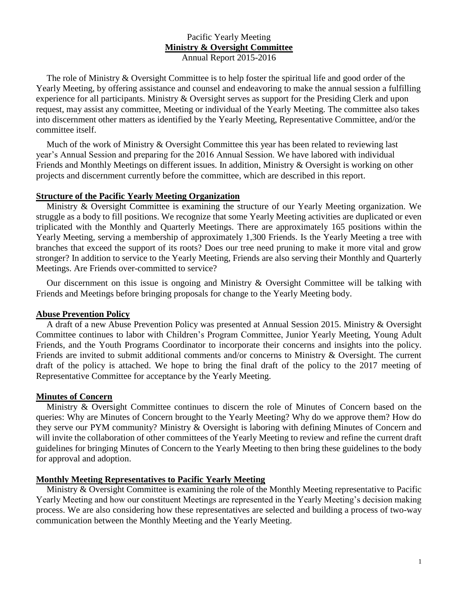# Pacific Yearly Meeting **Ministry & Oversight Committee**

Annual Report 2015-2016

The role of Ministry & Oversight Committee is to help foster the spiritual life and good order of the Yearly Meeting, by offering assistance and counsel and endeavoring to make the annual session a fulfilling experience for all participants. Ministry & Oversight serves as support for the Presiding Clerk and upon request, may assist any committee, Meeting or individual of the Yearly Meeting. The committee also takes into discernment other matters as identified by the Yearly Meeting, Representative Committee, and/or the committee itself.

Much of the work of Ministry & Oversight Committee this year has been related to reviewing last year's Annual Session and preparing for the 2016 Annual Session. We have labored with individual Friends and Monthly Meetings on different issues. In addition, Ministry & Oversight is working on other projects and discernment currently before the committee, which are described in this report.

### **Structure of the Pacific Yearly Meeting Organization**

Ministry & Oversight Committee is examining the structure of our Yearly Meeting organization. We struggle as a body to fill positions. We recognize that some Yearly Meeting activities are duplicated or even triplicated with the Monthly and Quarterly Meetings. There are approximately 165 positions within the Yearly Meeting, serving a membership of approximately 1,300 Friends. Is the Yearly Meeting a tree with branches that exceed the support of its roots? Does our tree need pruning to make it more vital and grow stronger? In addition to service to the Yearly Meeting, Friends are also serving their Monthly and Quarterly Meetings. Are Friends over-committed to service?

Our discernment on this issue is ongoing and Ministry & Oversight Committee will be talking with Friends and Meetings before bringing proposals for change to the Yearly Meeting body.

# **Abuse Prevention Policy**

A draft of a new Abuse Prevention Policy was presented at Annual Session 2015. Ministry & Oversight Committee continues to labor with Children's Program Committee, Junior Yearly Meeting, Young Adult Friends, and the Youth Programs Coordinator to incorporate their concerns and insights into the policy. Friends are invited to submit additional comments and/or concerns to Ministry & Oversight. The current draft of the policy is attached. We hope to bring the final draft of the policy to the 2017 meeting of Representative Committee for acceptance by the Yearly Meeting.

# **Minutes of Concern**

Ministry & Oversight Committee continues to discern the role of Minutes of Concern based on the queries: Why are Minutes of Concern brought to the Yearly Meeting? Why do we approve them? How do they serve our PYM community? Ministry & Oversight is laboring with defining Minutes of Concern and will invite the collaboration of other committees of the Yearly Meeting to review and refine the current draft guidelines for bringing Minutes of Concern to the Yearly Meeting to then bring these guidelines to the body for approval and adoption.

# **Monthly Meeting Representatives to Pacific Yearly Meeting**

Ministry & Oversight Committee is examining the role of the Monthly Meeting representative to Pacific Yearly Meeting and how our constituent Meetings are represented in the Yearly Meeting's decision making process. We are also considering how these representatives are selected and building a process of two-way communication between the Monthly Meeting and the Yearly Meeting.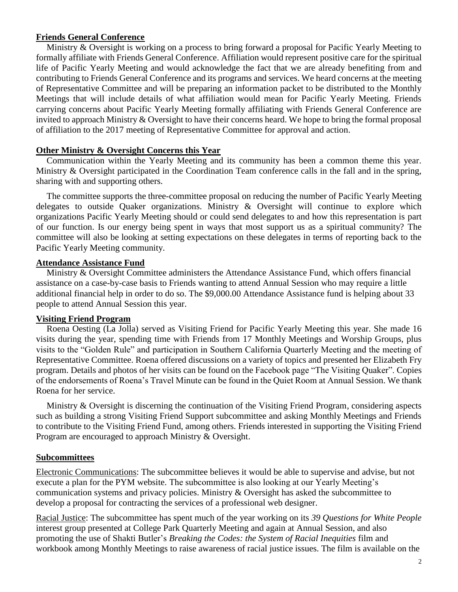## **Friends General Conference**

Ministry & Oversight is working on a process to bring forward a proposal for Pacific Yearly Meeting to formally affiliate with Friends General Conference. Affiliation would represent positive care for the spiritual life of Pacific Yearly Meeting and would acknowledge the fact that we are already benefiting from and contributing to Friends General Conference and its programs and services. We heard concerns at the meeting of Representative Committee and will be preparing an information packet to be distributed to the Monthly Meetings that will include details of what affiliation would mean for Pacific Yearly Meeting. Friends carrying concerns about Pacific Yearly Meeting formally affiliating with Friends General Conference are invited to approach Ministry & Oversight to have their concerns heard. We hope to bring the formal proposal of affiliation to the 2017 meeting of Representative Committee for approval and action.

## **Other Ministry & Oversight Concerns this Year**

Communication within the Yearly Meeting and its community has been a common theme this year. Ministry & Oversight participated in the Coordination Team conference calls in the fall and in the spring, sharing with and supporting others.

The committee supports the three-committee proposal on reducing the number of Pacific Yearly Meeting delegates to outside Quaker organizations. Ministry & Oversight will continue to explore which organizations Pacific Yearly Meeting should or could send delegates to and how this representation is part of our function. Is our energy being spent in ways that most support us as a spiritual community? The committee will also be looking at setting expectations on these delegates in terms of reporting back to the Pacific Yearly Meeting community.

### **Attendance Assistance Fund**

Ministry & Oversight Committee administers the Attendance Assistance Fund, which offers financial assistance on a case-by-case basis to Friends wanting to attend Annual Session who may require a little additional financial help in order to do so. The \$9,000.00 Attendance Assistance fund is helping about 33 people to attend Annual Session this year.

### **Visiting Friend Program**

Roena Oesting (La Jolla) served as Visiting Friend for Pacific Yearly Meeting this year. She made 16 visits during the year, spending time with Friends from 17 Monthly Meetings and Worship Groups, plus visits to the "Golden Rule" and participation in Southern California Quarterly Meeting and the meeting of Representative Committee. Roena offered discussions on a variety of topics and presented her Elizabeth Fry program. Details and photos of her visits can be found on the Facebook page "The Visiting Quaker". Copies of the endorsements of Roena's Travel Minute can be found in the Quiet Room at Annual Session. We thank Roena for her service.

Ministry & Oversight is discerning the continuation of the Visiting Friend Program, considering aspects such as building a strong Visiting Friend Support subcommittee and asking Monthly Meetings and Friends to contribute to the Visiting Friend Fund, among others. Friends interested in supporting the Visiting Friend Program are encouraged to approach Ministry & Oversight.

### **Subcommittees**

Electronic Communications: The subcommittee believes it would be able to supervise and advise, but not execute a plan for the PYM website. The subcommittee is also looking at our Yearly Meeting's communication systems and privacy policies. Ministry & Oversight has asked the subcommittee to develop a proposal for contracting the services of a professional web designer.

Racial Justice: The subcommittee has spent much of the year working on its *39 Questions for White People* interest group presented at College Park Quarterly Meeting and again at Annual Session, and also promoting the use of Shakti Butler's *Breaking the Codes: the System of Racial Inequities* film and workbook among Monthly Meetings to raise awareness of racial justice issues. The film is available on the